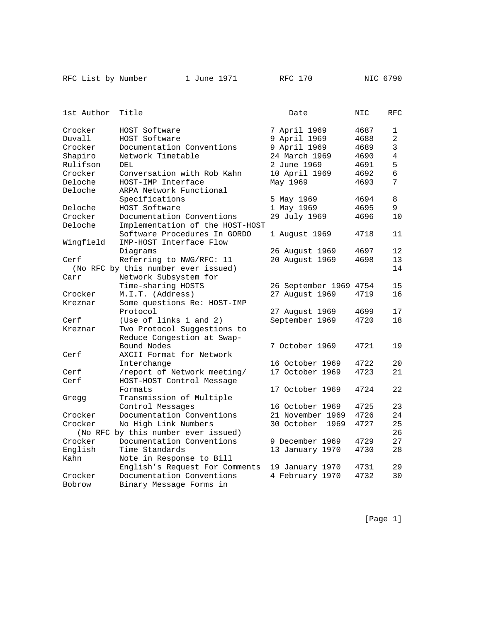|  |  |  | RFC List by Numbe |
|--|--|--|-------------------|
|--|--|--|-------------------|

ber 1 June 1971 RFC 170 NIC 6790

| 1st Author | Title                               | Date               | NIC  | RFC            |
|------------|-------------------------------------|--------------------|------|----------------|
| Crocker    | HOST Software                       | 7 April 1969       | 4687 | 1              |
| Duvall     | HOST Software                       | 9 April 1969       | 4688 | $\overline{a}$ |
| Crocker    | Documentation Conventions           | 9 April 1969       | 4689 | 3              |
| Shapiro    | Network Timetable                   | 24 March 1969      | 4690 | 4              |
| Rulifson   | DEL                                 | 2 June 1969        | 4691 | 5              |
| Crocker    | Conversation with Rob Kahn          | 10 April 1969      | 4692 | 6              |
| Deloche    | HOST-IMP Interface                  | May 1969           | 4693 | 7              |
| Deloche    | ARPA Network Functional             |                    |      |                |
|            | Specifications                      | 5 May 1969         | 4694 | 8              |
| Deloche    | HOST Software                       | 1 May 1969         | 4695 | 9              |
| Crocker    | Documentation Conventions           | 29 July 1969       | 4696 | 10             |
| Deloche    | Implementation of the HOST-HOST     |                    |      |                |
|            | Software Procedures In GORDO        | 1 August 1969      | 4718 | 11             |
| Wingfield  | IMP-HOST Interface Flow             |                    |      |                |
|            | Diagrams                            | 26 August 1969     | 4697 | 12             |
| Cerf       | Referring to NWG/RFC: 11            | 20 August 1969     | 4698 | 13             |
|            | (No RFC by this number ever issued) |                    |      | 14             |
| Carr       | Network Subsystem for               |                    |      |                |
|            | Time-sharing HOSTS                  | 26 September 1969  | 4754 | 15             |
| Crocker    | M.I.T. (Address)                    | 27 August 1969     | 4719 | 16             |
| Kreznar    | Some questions Re: HOST-IMP         |                    |      |                |
|            | Protocol                            | 27 August 1969     | 4699 | 17             |
| Cerf       | (Use of links 1 and 2)              | September 1969     | 4720 | 18             |
| Kreznar    | Two Protocol Suggestions to         |                    |      |                |
|            | Reduce Congestion at Swap-          |                    |      |                |
|            | Bound Nodes                         | 7 October 1969     | 4721 | 19             |
| Cerf       | AXCII Format for Network            |                    |      |                |
|            | Interchange                         | 16 October 1969    | 4722 | 20             |
| Cerf       | /report of Network meeting/         | 17 October 1969    | 4723 | 21             |
| Cerf       | HOST-HOST Control Message           |                    |      |                |
|            | Formats                             | 17 October 1969    | 4724 | 22             |
| Gregg      | Transmission of Multiple            |                    |      |                |
|            | Control Messages                    | 16 October 1969    | 4725 | 23             |
| Crocker    | Documentation Conventions           | 21 November 1969   | 4726 | 24             |
| Crocker    | No High Link Numbers                | 30 October<br>1969 | 4727 | 25             |
|            | (No RFC by this number ever issued) |                    |      | 26             |
| Crocker    | Documentation Conventions           | 9 December 1969    | 4729 | 27             |
| English    | Time Standards                      | 13 January 1970    | 4730 | 28             |
| Kahn       | Note in Response to Bill            |                    |      |                |
|            | English's Request For Comments      | 19 January 1970    | 4731 | 29             |
| Crocker    | Documentation Conventions           | 4 February 1970    | 4732 | 30             |
| Bobrow     | Binary Message Forms in             |                    |      |                |

[Page 1]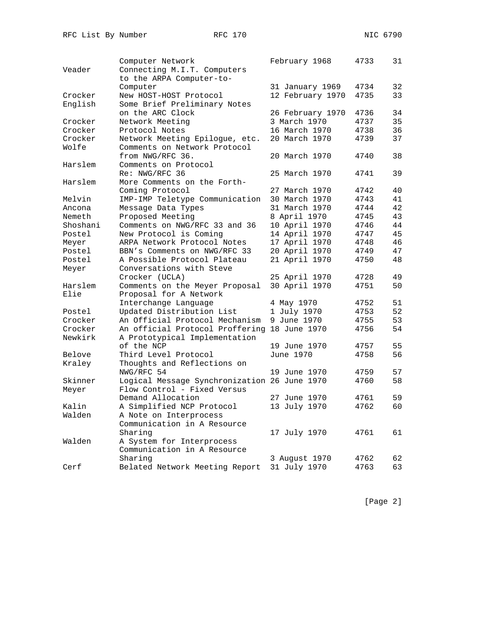|          | Computer Network                             | February 1968    | 4733 | 31 |
|----------|----------------------------------------------|------------------|------|----|
| Veader   | Connecting M.I.T. Computers                  |                  |      |    |
|          | to the ARPA Computer-to-                     |                  |      |    |
|          | Computer                                     | 31 January 1969  | 4734 | 32 |
| Crocker  | New HOST-HOST Protocol                       | 12 February 1970 | 4735 | 33 |
| English  | Some Brief Preliminary Notes                 |                  |      |    |
|          | on the ARC Clock                             | 26 February 1970 | 4736 | 34 |
| Crocker  | Network Meeting                              | 3 March 1970     | 4737 | 35 |
| Crocker  | Protocol Notes                               | 16 March 1970    | 4738 | 36 |
| Crocker  | Network Meeting Epilogue, etc.               | 20 March 1970    | 4739 | 37 |
| Wolfe    | Comments on Network Protocol                 |                  |      |    |
|          | from NWG/RFC 36.                             | 20 March 1970    | 4740 | 38 |
| Harslem  | Comments on Protocol                         |                  |      |    |
|          | Re: NWG/RFC 36                               | 25 March 1970    | 4741 | 39 |
| Harslem  | More Comments on the Forth-                  |                  |      |    |
|          | Coming Protocol                              | 27 March 1970    | 4742 | 40 |
| Melvin   | IMP-IMP Teletype Communication               | 30 March 1970    | 4743 | 41 |
| Ancona   | Message Data Types                           | 31 March 1970    | 4744 | 42 |
| Nemeth   | Proposed Meeting                             | 8 April 1970     | 4745 | 43 |
| Shoshani | Comments on NWG/RFC 33 and 36                | 10 April 1970    | 4746 | 44 |
| Postel   | New Protocol is Coming                       | 14 April 1970    | 4747 | 45 |
| Meyer    | ARPA Network Protocol Notes                  | 17 April 1970    | 4748 | 46 |
| Postel   | BBN's Comments on NWG/RFC 33                 | 20 April 1970    | 4749 | 47 |
| Postel   | A Possible Protocol Plateau                  | 21 April 1970    | 4750 | 48 |
| Meyer    | Conversations with Steve                     |                  |      |    |
|          | Crocker (UCLA)                               | 25 April 1970    | 4728 | 49 |
| Harslem  | Comments on the Meyer Proposal               | 30 April 1970    | 4751 | 50 |
| Elie     | Proposal for A Network                       |                  |      |    |
|          | Interchange Language                         | 4 May 1970       | 4752 | 51 |
| Postel   | Updated Distribution List                    | 1 July 1970      | 4753 | 52 |
| Crocker  | An Official Protocol Mechanism               | 9 June 1970      | 4755 | 53 |
| Crocker  | An official Protocol Proffering 18 June 1970 |                  | 4756 | 54 |
| Newkirk  | A Prototypical Implementation                |                  |      |    |
|          | of the NCP                                   | 19 June 1970     | 4757 | 55 |
| Belove   | Third Level Protocol                         | June 1970        | 4758 | 56 |
| Kraley   | Thoughts and Reflections on                  |                  |      |    |
|          | NWG/RFC 54                                   | 19 June 1970     | 4759 | 57 |
| Skinner  | Logical Message Synchronization 26 June 1970 |                  | 4760 | 58 |
| Meyer    | Flow Control - Fixed Versus                  |                  |      |    |
|          | Demand Allocation                            | 27 June 1970     | 4761 | 59 |
| Kalin    | A Simplified NCP Protocol                    | 13 July 1970     | 4762 | 60 |
| Walden   | A Note on Interprocess                       |                  |      |    |
|          | Communication in A Resource                  |                  |      |    |
|          | Sharing                                      | 17 July 1970     | 4761 | 61 |
| Walden   | A System for Interprocess                    |                  |      |    |
|          | Communication in A Resource                  |                  |      |    |
|          | Sharing                                      | 3 August 1970    | 4762 | 62 |
| Cerf     | Belated Network Meeting Report               | 31 July 1970     | 4763 | 63 |
|          |                                              |                  |      |    |

[Page 2]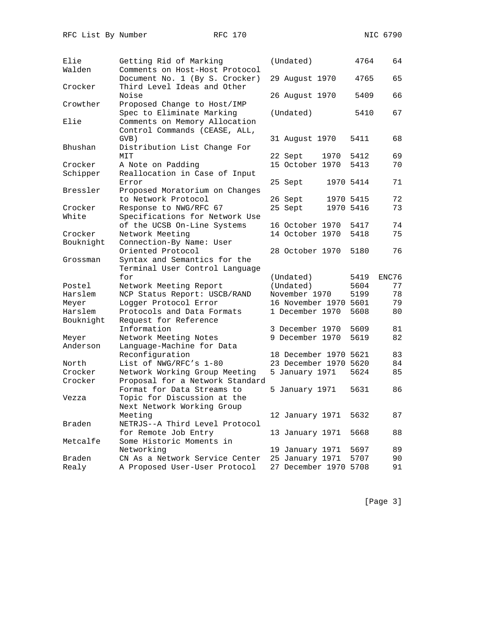| Elie      | Getting Rid of Marking                                           | (Undated)             | 4764      | 64    |
|-----------|------------------------------------------------------------------|-----------------------|-----------|-------|
| Walden    | Comments on Host-Host Protocol<br>Document No. 1 (By S. Crocker) |                       | 4765      | 65    |
| Crocker   | Third Level Ideas and Other                                      | 29 August 1970        |           |       |
|           | Noise                                                            | 26 August 1970        | 5409      | 66    |
| Crowther  | Proposed Change to Host/IMP                                      |                       |           |       |
|           | Spec to Eliminate Marking                                        | (Undated)             | 5410      | 67    |
| Elie      | Comments on Memory Allocation                                    |                       |           |       |
|           | Control Commands (CEASE, ALL,                                    |                       |           |       |
|           | GVB)                                                             | 31 August 1970        | 5411      | 68    |
| Bhushan   | Distribution List Change For                                     |                       |           |       |
|           | MIT                                                              | 22 Sept<br>1970       | 5412      | 69    |
| Crocker   | A Note on Padding                                                | 15 October 1970       | 5413      | 70    |
| Schipper  | Reallocation in Case of Input                                    |                       |           |       |
|           | Error                                                            | 25 Sept               | 1970 5414 | 71    |
| Bressler  | Proposed Moratorium on Changes<br>to Network Protocol            |                       | 1970 5415 | 72    |
| Crocker   | Response to NWG/RFC 67                                           | 26 Sept               | 1970 5416 | 73    |
| White     | Specifications for Network Use                                   | 25 Sept               |           |       |
|           | of the UCSB On-Line Systems                                      | 16 October 1970       | 5417      | 74    |
| Crocker   | Network Meeting                                                  | 14 October 1970       | 5418      | 75    |
| Bouknight | Connection-By Name: User                                         |                       |           |       |
|           | Oriented Protocol                                                | 28 October 1970       | 5180      | 76    |
| Grossman  | Syntax and Semantics for the                                     |                       |           |       |
|           | Terminal User Control Language                                   |                       |           |       |
|           | for                                                              | (Undated)             | 5419      | ENC76 |
| Postel    | Network Meeting Report                                           | (Undated)             | 5604      | 77    |
| Harslem   | NCP Status Report: USCB/RAND                                     | November 1970         | 5199      | 78    |
| Meyer     | Logger Protocol Error                                            | 16 November 1970 5601 |           | 79    |
| Harslem   | Protocols and Data Formats                                       | 1 December 1970       | 5608      | 80    |
| Bouknight | Request for Reference                                            |                       |           |       |
|           | Information                                                      | 3 December 1970       | 5609      | 81    |
| Meyer     | Network Meeting Notes                                            | 9 December 1970       | 5619      | 82    |
| Anderson  | Language-Machine for Data                                        |                       |           |       |
|           | Reconfiguration                                                  | 18 December 1970 5621 |           | 83    |
| North     | List of NWG/RFC's 1-80                                           | 23 December 1970 5620 |           | 84    |
| Crocker   | Network Working Group Meeting                                    | 5 January 1971        | 5624      | 85    |
| Crocker   | Proposal for a Network Standard                                  |                       |           |       |
|           | Format for Data Streams to                                       | 5 January 1971        | 5631      | 86    |
| Vezza     | Topic for Discussion at the                                      |                       |           |       |
|           | Next Network Working Group                                       |                       |           |       |
|           | Meeting                                                          | 12 January 1971       | 5632      | 87    |
| Braden    | NETRJS--A Third Level Protocol                                   |                       |           |       |
|           | for Remote Job Entry                                             | 13 January 1971       | 5668      | 88    |
| Metcalfe  | Some Historic Moments in                                         |                       |           |       |
|           | Networking                                                       | 19 January 1971       | 5697      | 89    |
| Braden    | CN As a Network Service Center                                   | 25 January 1971       | 5707      | 90    |
| Realy     | A Proposed User-User Protocol                                    | 27 December 1970      | 5708      | 91    |

[Page 3]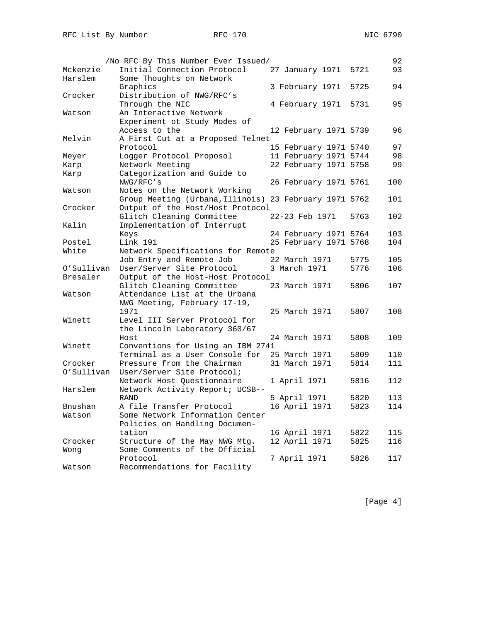|            | /No RFC By This Number Ever Issued/                    |                       | 92          |
|------------|--------------------------------------------------------|-----------------------|-------------|
| Mckenzie   | Initial Connection Protocol                            | 27 January 1971       | 93<br>5721  |
| Harslem    | Some Thoughts on Network                               |                       |             |
|            | Graphics                                               | 3 February 1971       | 94<br>5725  |
| Crocker    | Distribution of NWG/RFC's                              |                       |             |
|            | Through the NIC                                        | 4 February 1971       | 5731<br>95  |
| Watson     | An Interactive Network                                 |                       |             |
|            | Experiment ot Study Modes of                           |                       |             |
|            | Access to the                                          | 12 February 1971 5739 | 96          |
| Melvin     | A First Cut at a Proposed Telnet                       |                       |             |
|            | Protocol                                               | 15 February 1971 5740 | 97          |
| Meyer      | Logger Protocol Proposol                               | 11 February 1971 5744 | 98          |
| Karp       | Network Meeting                                        | 22 February 1971 5758 | 99          |
| Karp       | Categorization and Guide to                            |                       |             |
|            | NWG/RFC's                                              | 26 February 1971 5761 | 100         |
| Watson     | Notes on the Network Working                           |                       |             |
|            | Group Meeting (Urbana, Illinois) 23 February 1971 5762 |                       | 101         |
| Crocker    | Output of the Host/Host Protocol                       |                       |             |
|            | Glitch Cleaning Committee                              | 22-23 Feb 1971        | 5763<br>102 |
| Kalin      | Implementation of Interrupt                            |                       |             |
|            | Keys                                                   | 24 February 1971 5764 | 103         |
| Postel     | Link 191                                               | 25 February 1971 5768 | 104         |
| White      | Network Specifications for Remote                      |                       |             |
|            | Job Entry and Remote Job                               | 22 March 1971         | 5775<br>105 |
| O'Sullivan | User/Server Site Protocol                              | 3 March 1971          | 5776<br>106 |
| Bresaler   | Output of the Host-Host Protocol                       |                       |             |
|            | Glitch Cleaning Committee                              | 23 March 1971         | 5806<br>107 |
| Watson     | Attendance List at the Urbana                          |                       |             |
|            | NWG Meeting, February 17-19,                           |                       |             |
|            | 1971                                                   | 25 March 1971         | 5807<br>108 |
| Winett     | Level III Server Protocol for                          |                       |             |
|            | the Lincoln Laboratory 360/67                          |                       |             |
|            | Host                                                   | 24 March 1971         | 5808<br>109 |
| Winett     | Conventions for Using an IBM 2741                      |                       |             |
|            | Terminal as a User Console for                         | 25 March 1971         | 5809<br>110 |
| Crocker    | Pressure from the Chairman                             | 31 March 1971         | 5814<br>111 |
| O'Sullivan | User/Server Site Protocol;                             |                       |             |
|            | Network Host Questionnaire                             | 1 April 1971          | 112<br>5816 |
| Harslem    | Network Activity Report; UCSB--                        |                       |             |
|            | <b>RAND</b>                                            | 5 April 1971          | 5820<br>113 |
| Bnushan    | A file Transfer Protocol                               | 16 April 1971         | 5823<br>114 |
| Watson     | Some Network Information Center                        |                       |             |
|            | Policies on Handling Documen-                          |                       |             |
|            | tation                                                 | 16 April 1971         | 5822<br>115 |
| Crocker    | Structure of the May NWG Mtg.                          | 12 April 1971         | 5825<br>116 |
| Wong       | Some Comments of the Official                          |                       |             |
|            | Protocol                                               | 7 April 1971          | 5826<br>117 |
| Watson     | Recommendations for Facility                           |                       |             |

[Page 4]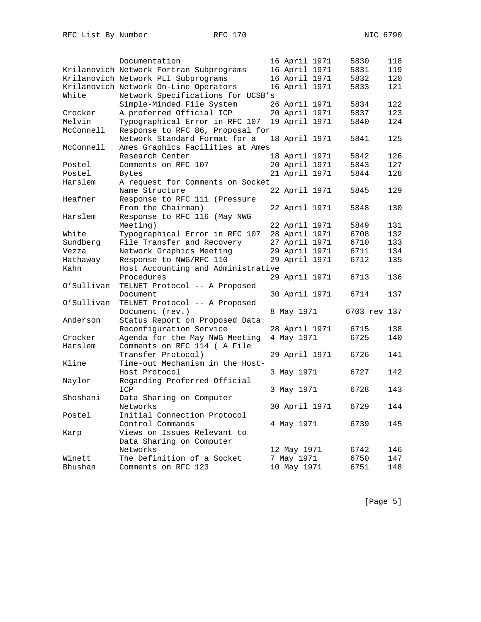|            | Documentation                           | 16 April 1971 | 5830         | 118 |
|------------|-----------------------------------------|---------------|--------------|-----|
|            | Krilanovich Network Fortran Subprograms | 16 April 1971 | 5831         | 119 |
|            | Krilanovich Network PLI Subprograms     | 16 April 1971 | 5832         | 120 |
|            | Krilanovich Network On-Line Operators   | 16 April 1971 | 5833         | 121 |
| White      | Network Specifications for UCSB's       |               |              |     |
|            | Simple-Minded File System               | 26 April 1971 | 5834         | 122 |
| Crocker    | A proferred Official ICP                | 20 April 1971 | 5837         | 123 |
| Melvin     | Typographical Error in RFC 107          | 19 April 1971 | 5840         | 124 |
| McConnell  | Response to RFC 86, Proposal for        |               |              |     |
|            | Network Standard Format for a           | 18 April 1971 | 5841         | 125 |
| McConnell  | Ames Graphics Facilities at Ames        |               |              |     |
|            | Research Center                         | 18 April 1971 | 5842         | 126 |
| Postel     | Comments on RFC 107                     | 20 April 1971 | 5843         | 127 |
| Postel     | Bytes                                   | 21 April 1971 | 5844         | 128 |
| Harslem    | A request for Comments on Socket        |               |              |     |
|            | Name Structure                          | 22 April 1971 | 5845         | 129 |
| Heafner    | Response to RFC 111 (Pressure           |               |              |     |
|            | From the Chairman)                      | 22 April 1971 | 5848         | 130 |
| Harslem    | Response to RFC 116 (May NWG            |               |              |     |
|            | Meeting)                                | 22 April 1971 | 5849         | 131 |
| White      | Typographical Error in RFC 107          | 28 April 1971 | 6708         | 132 |
| Sundberg   | File Transfer and Recovery              | 27 April 1971 | 6710         | 133 |
| Vezza      | Network Graphics Meeting                | 29 April 1971 | 6711         | 134 |
| Hathaway   | Response to NWG/RFC 110                 | 29 April 1971 | 6712         | 135 |
| Kahn       | Host Accounting and Administrative      |               |              |     |
|            | Procedures                              | 29 April 1971 | 6713         | 136 |
| O'Sullivan | TELNET Protocol -- A Proposed           |               |              |     |
|            | Document                                | 30 April 1971 | 6714         | 137 |
| O'Sullivan | TELNET Protocol -- A Proposed           |               |              |     |
|            | Document (rev.)                         | 8 May 1971    | 6703 rev 137 |     |
| Anderson   | Status Report on Proposed Data          |               |              |     |
|            | Reconfiguration Service                 | 28 April 1971 | 6715         | 138 |
| Crocker    | Agenda for the May NWG Meeting          | 4 May 1971    | 6725         | 140 |
| Harslem    | Comments on RFC 114 ( A File            |               |              |     |
|            | Transfer Protocol)                      | 29 April 1971 | 6726         | 141 |
| Kline      | Time-out Mechanism in the Host-         |               |              |     |
|            | Host Protocol                           | 3 May 1971    | 6727         | 142 |
| Naylor     | Regarding Proferred Official            |               |              |     |
|            | ICP                                     | 3 May 1971    | 6728         | 143 |
| Shoshani   | Data Sharing on Computer                |               |              |     |
|            | Networks                                | 30 April 1971 | 6729         | 144 |
| Postel     | Initial Connection Protocol             |               |              |     |
|            | Control Commands                        | 4 May 1971    | 6739         | 145 |
| Karp       | Views on Issues Relevant to             |               |              |     |
|            | Data Sharing on Computer                |               |              |     |
|            | Networks                                | 12 May 1971   | 6742         | 146 |
| Winett     | The Definition of a Socket              | 7 May 1971    | 6750         | 147 |
| Bhushan    | Comments on RFC 123                     | 10 May 1971   | 6751         | 148 |

[Page 5]